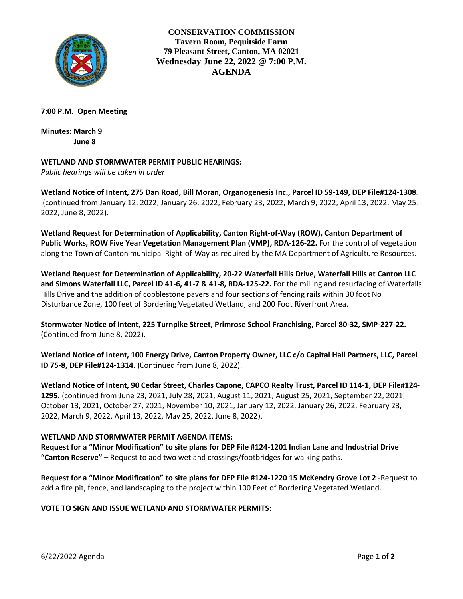

**CONSERVATION COMMISSION Tavern Room, Pequitside Farm 79 Pleasant Street, Canton, MA 02021 Wednesday June 22, 2022 @ 7:00 P.M. AGENDA** 

# **7:00 P.M. Open Meeting**

**Minutes: March 9 June 8**

## **WETLAND AND STORMWATER PERMIT PUBLIC HEARINGS:**

*Public hearings will be taken in order*

**Wetland Notice of Intent, 275 Dan Road, Bill Moran, Organogenesis Inc., Parcel ID 59-149, DEP File#124-1308.** (continued from January 12, 2022, January 26, 2022, February 23, 2022, March 9, 2022, April 13, 2022, May 25, 2022, June 8, 2022).

**Wetland Request for Determination of Applicability, Canton Right-of-Way (ROW), Canton Department of Public Works, ROW Five Year Vegetation Management Plan (VMP), RDA-126-22.** For the control of vegetation along the Town of Canton municipal Right-of-Way as required by the MA Department of Agriculture Resources.

**Wetland Request for Determination of Applicability, 20-22 Waterfall Hills Drive, Waterfall Hills at Canton LLC and Simons Waterfall LLC, Parcel ID 41-6, 41-7 & 41-8, RDA-125-22.** For the milling and resurfacing of Waterfalls Hills Drive and the addition of cobblestone pavers and four sections of fencing rails within 30 foot No Disturbance Zone, 100 feet of Bordering Vegetated Wetland, and 200 Foot Riverfront Area.

**Stormwater Notice of Intent, 225 Turnpike Street, Primrose School Franchising, Parcel 80-32, SMP-227-22.** (Continued from June 8, 2022).

**Wetland Notice of Intent, 100 Energy Drive, Canton Property Owner, LLC c/o Capital Hall Partners, LLC, Parcel ID 75-8, DEP File#124-1314**. (Continued from June 8, 2022).

**Wetland Notice of Intent, 90 Cedar Street, Charles Capone, CAPCO Realty Trust, Parcel ID 114-1, DEP File#124- 1295.** (continued from June 23, 2021, July 28, 2021, August 11, 2021, August 25, 2021, September 22, 2021, October 13, 2021, October 27, 2021, November 10, 2021, January 12, 2022, January 26, 2022, February 23, 2022, March 9, 2022, April 13, 2022, May 25, 2022, June 8, 2022).

## **WETLAND AND STORMWATER PERMIT AGENDA ITEMS:**

**Request for a "Minor Modification" to site plans for DEP File #124-1201 Indian Lane and Industrial Drive "Canton Reserve" –** Request to add two wetland crossings/footbridges for walking paths.

**Request for a "Minor Modification" to site plans for DEP File #124-1220 15 McKendry Grove Lot 2** -Request to add a fire pit, fence, and landscaping to the project within 100 Feet of Bordering Vegetated Wetland.

# **VOTE TO SIGN AND ISSUE WETLAND AND STORMWATER PERMITS:**